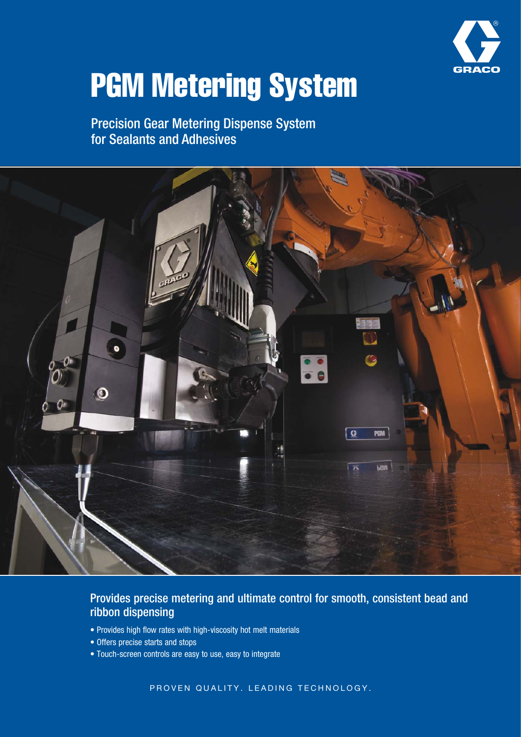

# PGM Metering System

Precision Gear Metering Dispense System for Sealants and Adhesives



### Provides precise metering and ultimate control for smooth, consistent bead and ribbon dispensing

- Provides high flow rates with high-viscosity hot melt materials
- Offers precise starts and stops
- Touch-screen controls are easy to use, easy to integrate

PROVEN QUALITY. LEADING TECHNOLOGY.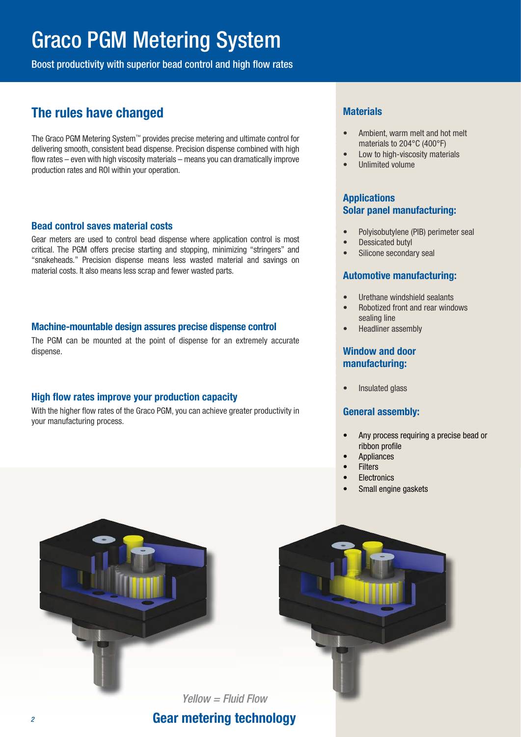## Graco PGM Metering System

Boost productivity with superior bead control and high flow rates

## **The rules have changed**

The Graco PGM Metering System™ provides precise metering and ultimate control for delivering smooth, consistent bead dispense. Precision dispense combined with high flow rates – even with high viscosity materials – means you can dramatically improve production rates and ROI within your operation.

#### **Bead control saves material costs**

Gear meters are used to control bead dispense where application control is most critical. The PGM offers precise starting and stopping, minimizing "stringers" and "snakeheads." Precision dispense means less wasted material and savings on material costs. It also means less scrap and fewer wasted parts.

#### **Machine-mountable design assures precise dispense control**

The PGM can be mounted at the point of dispense for an extremely accurate dispense.

#### **High flow rates improve your production capacity**

With the higher flow rates of the Graco PGM, you can achieve greater productivity in your manufacturing process.

#### **Materials**

- Ambient, warm melt and hot melt materials to 204°C (400°F)
- Low to high-viscosity materials
- Unlimited volume

#### **Applications Solar panel manufacturing:**

- Polyisobutylene (PIB) perimeter seal
- Dessicated butyl
- Silicone secondary seal

#### **Automotive manufacturing:**

- Urethane windshield sealants
- Robotized front and rear windows sealing line
- Headliner assembly

#### **Window and door manufacturing:**

• Insulated glass

#### **General assembly:**

- Any process requiring a precise bead or ribbon profile
- Appliances
- **Filters**
- Electronics
- Small engine gaskets



**Gear metering technology**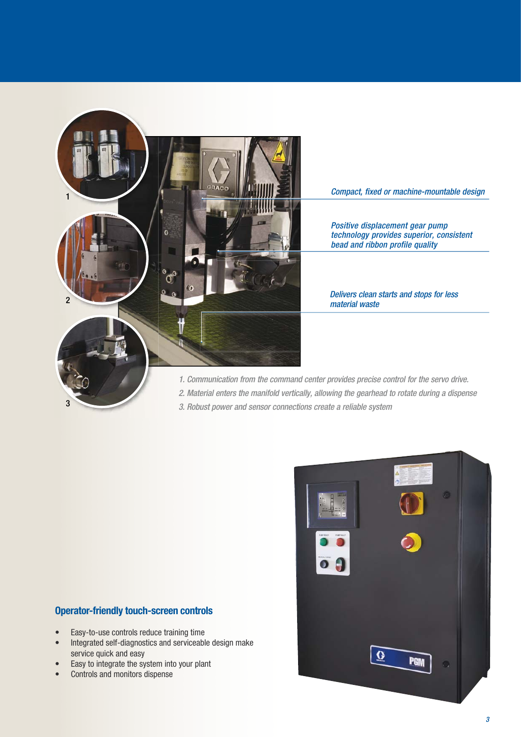

Compact, fixed or machine-mountable design

Positive displacement gear pump technology provides superior, consistent bead and ribbon profile quality

#### Delivers clean starts and stops for less material waste

- 1. Communication from the command center provides precise control for the servo drive.
- 2. Material enters the manifold vertically, allowing the gearhead to rotate during a dispense
- 3. Robust power and sensor connections create a reliable system

#### **Operator-friendly touch-screen controls**

- Easy-to-use controls reduce training time
- Integrated self-diagnostics and serviceable design make service quick and easy
- Easy to integrate the system into your plant
- Controls and monitors dispense

3

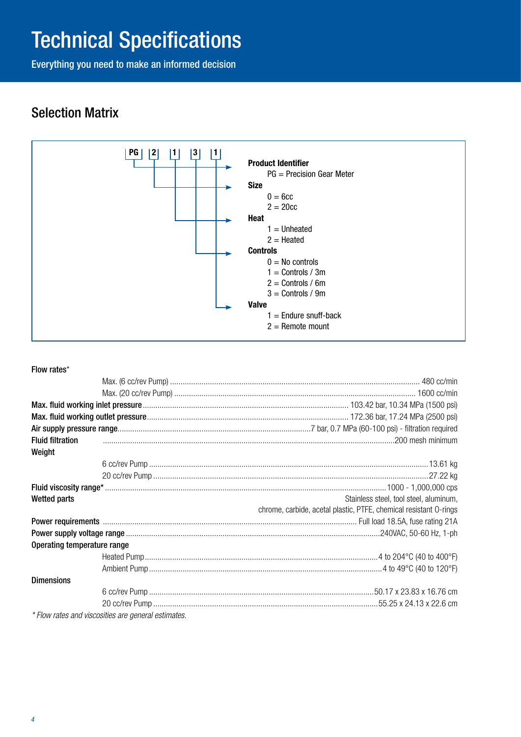## Technical Specifications

Everything you need to make an informed decision

## Selection Matrix



#### Flow rates\*

| <b>Fluid filtration</b>     |                                                     |                                                                   |  |  |  |
|-----------------------------|-----------------------------------------------------|-------------------------------------------------------------------|--|--|--|
| Weight                      |                                                     |                                                                   |  |  |  |
|                             |                                                     |                                                                   |  |  |  |
|                             |                                                     |                                                                   |  |  |  |
|                             |                                                     |                                                                   |  |  |  |
| <b>Wetted parts</b>         |                                                     | Stainless steel, tool steel, aluminum,                            |  |  |  |
|                             |                                                     | chrome, carbide, acetal plastic, PTFE, chemical resistant O-rings |  |  |  |
|                             |                                                     |                                                                   |  |  |  |
|                             |                                                     |                                                                   |  |  |  |
| Operating temperature range |                                                     |                                                                   |  |  |  |
|                             |                                                     |                                                                   |  |  |  |
|                             |                                                     |                                                                   |  |  |  |
| <b>Dimensions</b>           |                                                     |                                                                   |  |  |  |
|                             |                                                     |                                                                   |  |  |  |
|                             |                                                     |                                                                   |  |  |  |
|                             | * Flow rates and viscosities are general estimates. |                                                                   |  |  |  |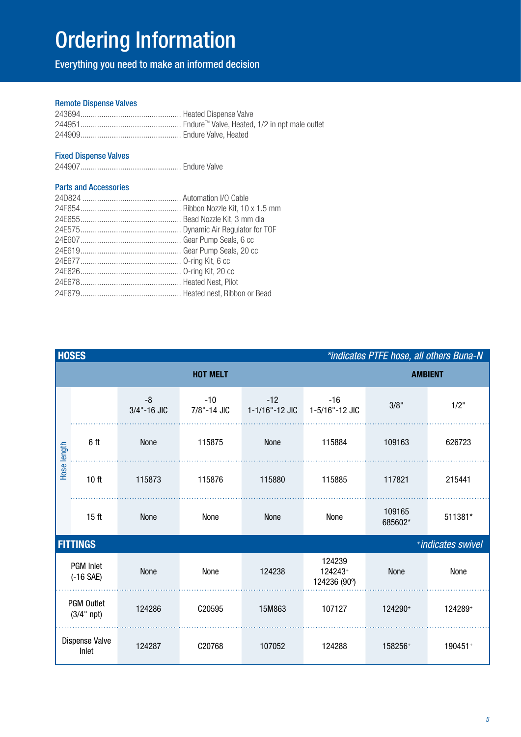## Ordering Information

Everything you need to make an informed decision

#### Remote Dispense Valves

#### Fixed Dispense Valves

244907................................................ Endure Valve

#### Parts and Accessories

| <b>HOSES</b><br>*indicates PTFE hose, all others Buna-N |                                      |                     |                      |                         |                                   |                   |         |  |
|---------------------------------------------------------|--------------------------------------|---------------------|----------------------|-------------------------|-----------------------------------|-------------------|---------|--|
|                                                         | <b>HOT MELT</b>                      |                     |                      |                         |                                   | <b>AMBIENT</b>    |         |  |
| Hose length                                             |                                      | $-8$<br>3/4"-16 JIC | $-10$<br>7/8"-14 JIC | $-12$<br>1-1/16"-12 JIC | $-16$<br>1-5/16"-12 JIC           | 3/8"              | $1/2$ " |  |
|                                                         | 6 ft                                 | None                | 115875               | None                    | 115884                            | 109163            | 626723  |  |
|                                                         | 10 <sub>ft</sub>                     | 115873              | 115876               | 115880                  | 115885                            | 117821            | 215441  |  |
|                                                         | 15 <sub>ft</sub>                     | None                | None                 | None                    | None                              | 109165<br>685602* | 511381* |  |
|                                                         | <b>FITTINGS</b><br>*indicates swivel |                     |                      |                         |                                   |                   |         |  |
| <b>PGM</b> Inlet<br>$(-16$ SAE)                         |                                      | None                | None                 | 124238                  | 124239<br>124243+<br>124236 (90°) | None              | None    |  |
| <b>PGM Outlet</b><br>$(3/4"$ npt)                       |                                      | 124286              | C20595               | 15M863                  | 107127                            | 124290+           | 124289+ |  |
| Dispense Valve<br>Inlet                                 |                                      | 124287              | C20768               | 107052                  | 124288                            | 158256+           | 190451+ |  |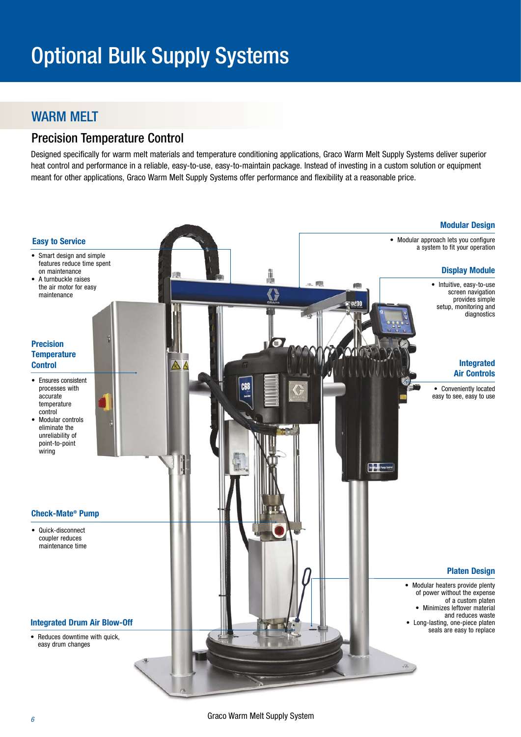## WARM MELT

### Precision Temperature Control

Designed specifically for warm melt materials and temperature conditioning applications, Graco Warm Melt Supply Systems deliver superior heat control and performance in a reliable, easy-to-use, easy-to-maintain package. Instead of investing in a custom solution or equipment meant for other applications, Graco Warm Melt Supply Systems offer performance and flexibility at a reasonable price.

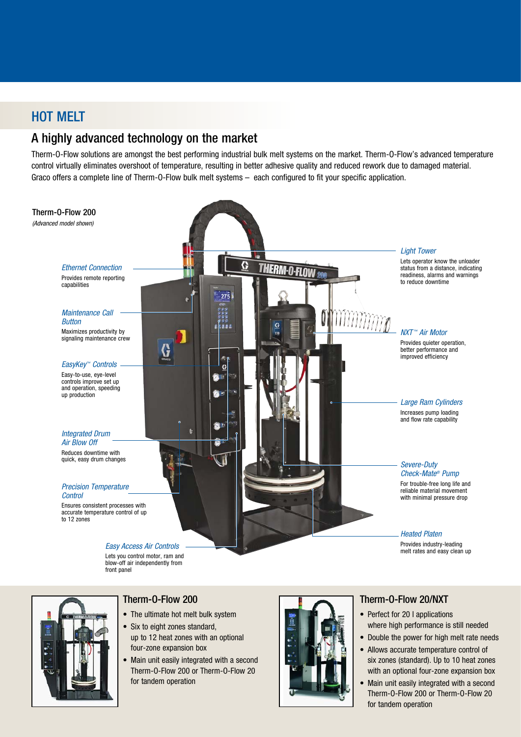## HOT MELT

## A highly advanced technology on the market

Therm-O-Flow solutions are amongst the best performing industrial bulk melt systems on the market. Therm-O-Flow's advanced temperature control virtually eliminates overshoot of temperature, resulting in better adhesive quality and reduced rework due to damaged material. Graco offers a complete line of Therm-O-Flow bulk melt systems – each configured to fit your specific application.





#### Therm-O-Flow 200

- The ultimate hot melt bulk system
- Six to eight zones standard, up to 12 heat zones with an optional four-zone expansion box
- Main unit easily integrated with a second Therm-O-Flow 200 or Therm-O-Flow 20 for tandem operation



#### Therm-O-Flow 20/NXT

- Perfect for 20 I applications where high performance is still needed
- Double the power for high melt rate needs
- Allows accurate temperature control of six zones (standard). Up to 10 heat zones with an optional four-zone expansion box
- Main unit easily integrated with a second Therm-O-Flow 200 or Therm-O-Flow 20 for tandem operation